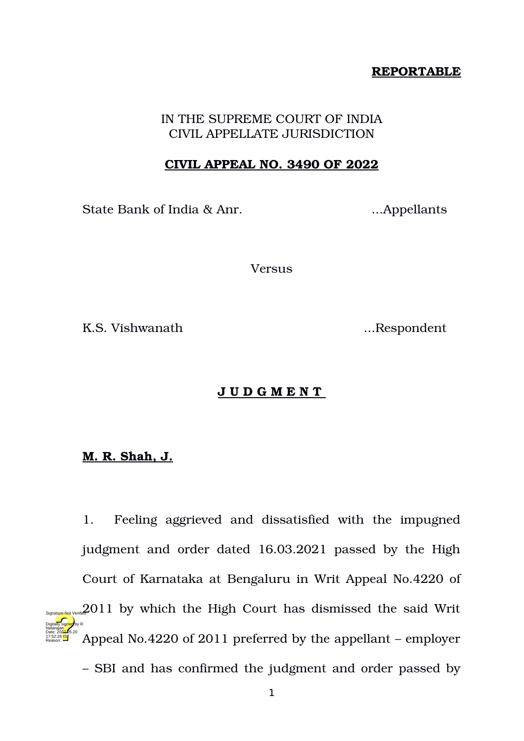## **REPORTABLE**

# IN THE SUPREME COURT OF INDIA CIVIL APPELLATE JURISDICTION

### **CIVIL APPEAL NO. 3490 OF 2022**

State Bank of India & Anr. ...Appellants

Versus

K.S. Vishwanath ...Respondent

# **J U D G M E N T**

# **M. R. Shah, J.**

1. Feeling aggrieved and dissatisfied with the impugned judgment and order dated 16.03.2021 passed by the High Court of Karnataka at Bengaluru in Writ Appeal No.4220 of 2011 by which the High Court has dismissed the said Writ Appeal No.4220 of 2011 preferred by the appellant – employer – SBI and has confirmed the judgment and order passed by Digitally signed by R Natarajan Date: 2022.05.20 17:52:26 IST Reason: Signature Not Verified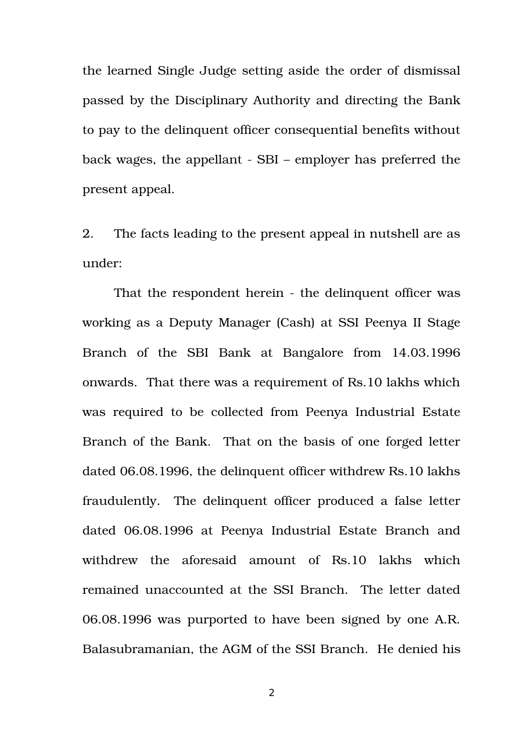the learned Single Judge setting aside the order of dismissal passed by the Disciplinary Authority and directing the Bank to pay to the delinquent officer consequential benefits without back wages, the appellant - SBI – employer has preferred the present appeal.

2. The facts leading to the present appeal in nutshell are as under:

That the respondent herein - the delinquent officer was working as a Deputy Manager (Cash) at SSI Peenya II Stage Branch of the SBI Bank at Bangalore from 14.03.1996 onwards. That there was a requirement of Rs.10 lakhs which was required to be collected from Peenya Industrial Estate Branch of the Bank. That on the basis of one forged letter dated 06.08.1996, the delinquent officer withdrew Rs.10 lakhs fraudulently. The delinquent officer produced a false letter dated 06.08.1996 at Peenya Industrial Estate Branch and withdrew the aforesaid amount of Rs.10 lakhs which remained unaccounted at the SSI Branch. The letter dated 06.08.1996 was purported to have been signed by one A.R. Balasubramanian, the AGM of the SSI Branch. He denied his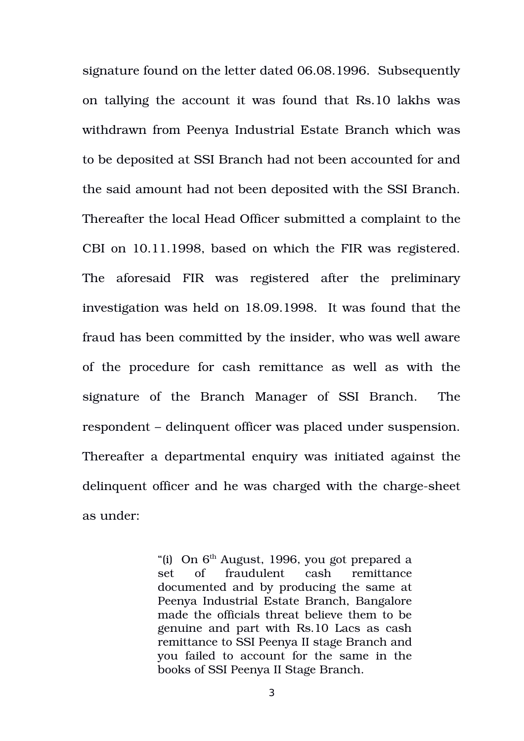signature found on the letter dated 06.08.1996. Subsequently on tallying the account it was found that Rs.10 lakhs was withdrawn from Peenya Industrial Estate Branch which was to be deposited at SSI Branch had not been accounted for and the said amount had not been deposited with the SSI Branch. Thereafter the local Head Officer submitted a complaint to the CBI on 10.11.1998, based on which the FIR was registered. The aforesaid FIR was registered after the preliminary investigation was held on 18.09.1998. It was found that the fraud has been committed by the insider, who was well aware of the procedure for cash remittance as well as with the signature of the Branch Manager of SSI Branch. The respondent – delinquent officer was placed under suspension. Thereafter a departmental enquiry was initiated against the delinquent officer and he was charged with the charge-sheet as under:

> "(i) On  $6<sup>th</sup>$  August, 1996, you got prepared a set of fraudulent cash remittance documented and by producing the same at Peenya Industrial Estate Branch, Bangalore made the officials threat believe them to be genuine and part with Rs.10 Lacs as cash remittance to SSI Peenya II stage Branch and you failed to account for the same in the books of SSI Peenya II Stage Branch.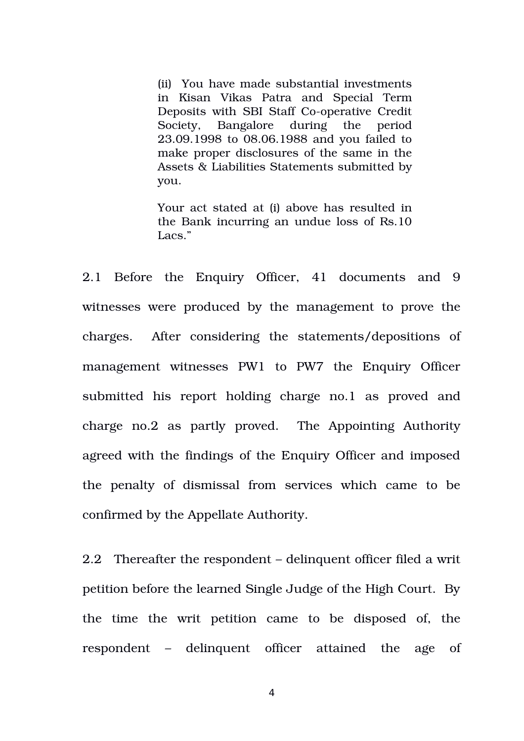(ii) You have made substantial investments in Kisan Vikas Patra and Special Term Deposits with SBI Staff Co-operative Credit Society, Bangalore during the period 23.09.1998 to 08.06.1988 and you failed to make proper disclosures of the same in the Assets & Liabilities Statements submitted by you.

Your act stated at (i) above has resulted in the Bank incurring an undue loss of Rs.10 Lacs."

2.1 Before the Enquiry Officer, 41 documents and 9 witnesses were produced by the management to prove the charges. After considering the statements/depositions of management witnesses PW1 to PW7 the Enquiry Officer submitted his report holding charge no.1 as proved and charge no.2 as partly proved. The Appointing Authority agreed with the findings of the Enquiry Officer and imposed the penalty of dismissal from services which came to be confirmed by the Appellate Authority.

2.2 Thereafter the respondent – delinquent officer filed a writ petition before the learned Single Judge of the High Court. By the time the writ petition came to be disposed of, the respondent – delinquent officer attained the age of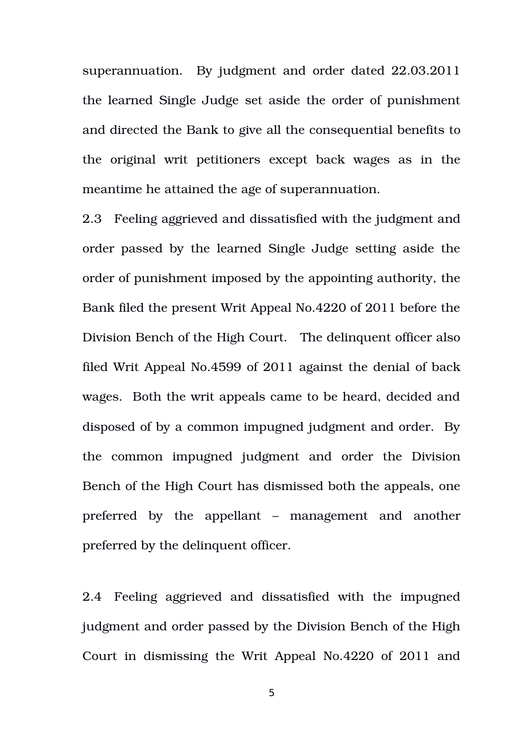superannuation. By judgment and order dated 22.03.2011 the learned Single Judge set aside the order of punishment and directed the Bank to give all the consequential benefits to the original writ petitioners except back wages as in the meantime he attained the age of superannuation.

2.3 Feeling aggrieved and dissatisfied with the judgment and order passed by the learned Single Judge setting aside the order of punishment imposed by the appointing authority, the Bank filed the present Writ Appeal No.4220 of 2011 before the Division Bench of the High Court. The delinquent officer also filed Writ Appeal No.4599 of 2011 against the denial of back wages. Both the writ appeals came to be heard, decided and disposed of by a common impugned judgment and order. By the common impugned judgment and order the Division Bench of the High Court has dismissed both the appeals, one preferred by the appellant – management and another preferred by the delinquent officer.

2.4 Feeling aggrieved and dissatisfied with the impugned judgment and order passed by the Division Bench of the High Court in dismissing the Writ Appeal No.4220 of 2011 and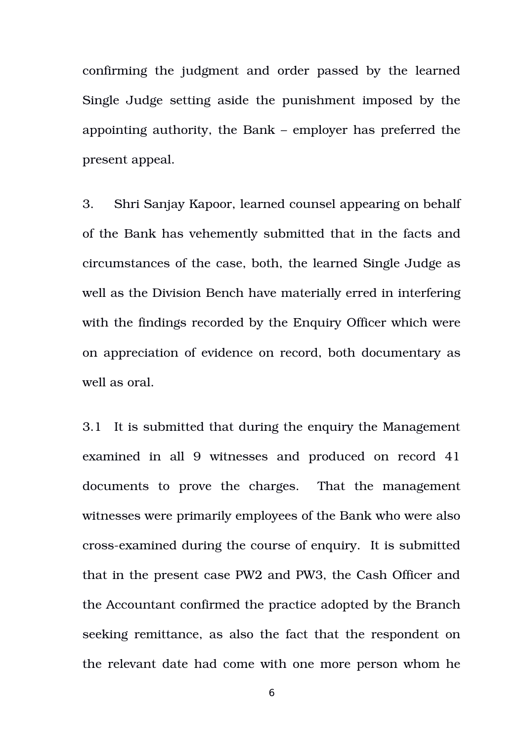confirming the judgment and order passed by the learned Single Judge setting aside the punishment imposed by the appointing authority, the Bank – employer has preferred the present appeal.

3. Shri Sanjay Kapoor, learned counsel appearing on behalf of the Bank has vehemently submitted that in the facts and circumstances of the case, both, the learned Single Judge as well as the Division Bench have materially erred in interfering with the findings recorded by the Enquiry Officer which were on appreciation of evidence on record, both documentary as well as oral.

3.1 It is submitted that during the enquiry the Management examined in all 9 witnesses and produced on record 41 documents to prove the charges. That the management witnesses were primarily employees of the Bank who were also cross-examined during the course of enquiry. It is submitted that in the present case PW2 and PW3, the Cash Officer and the Accountant confirmed the practice adopted by the Branch seeking remittance, as also the fact that the respondent on the relevant date had come with one more person whom he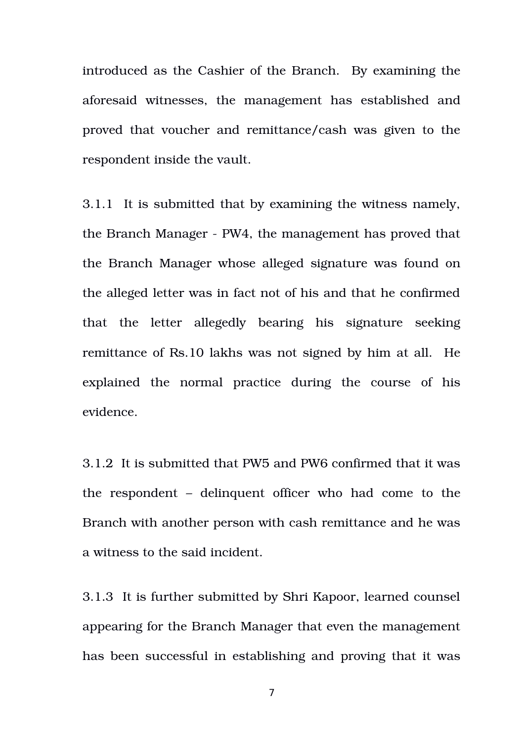introduced as the Cashier of the Branch. By examining the aforesaid witnesses, the management has established and proved that voucher and remittance/cash was given to the respondent inside the vault.

3.1.1 It is submitted that by examining the witness namely, the Branch Manager - PW4, the management has proved that the Branch Manager whose alleged signature was found on the alleged letter was in fact not of his and that he confirmed that the letter allegedly bearing his signature seeking remittance of Rs.10 lakhs was not signed by him at all. He explained the normal practice during the course of his evidence.

3.1.2 It is submitted that PW5 and PW6 confirmed that it was the respondent – delinquent officer who had come to the Branch with another person with cash remittance and he was a witness to the said incident.

3.1.3 It is further submitted by Shri Kapoor, learned counsel appearing for the Branch Manager that even the management has been successful in establishing and proving that it was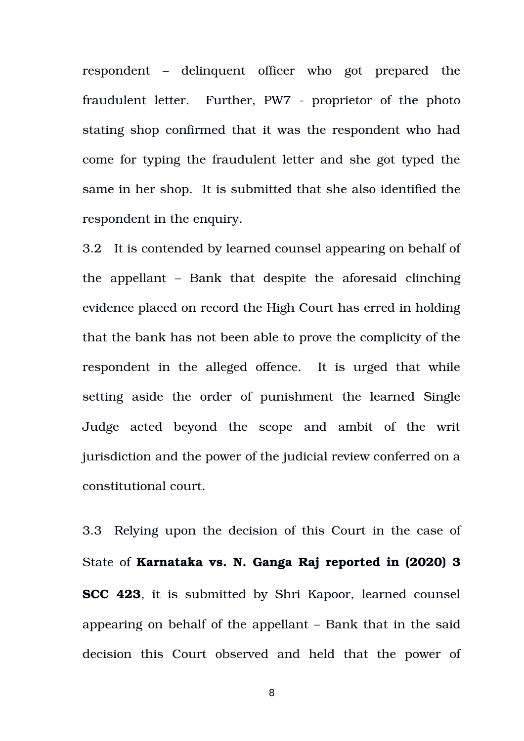respondent – delinquent officer who got prepared the fraudulent letter. Further, PW7 - proprietor of the photo stating shop confirmed that it was the respondent who had come for typing the fraudulent letter and she got typed the same in her shop. It is submitted that she also identified the respondent in the enquiry.

3.2 It is contended by learned counsel appearing on behalf of the appellant  $-$  Bank that despite the aforesaid clinching evidence placed on record the High Court has erred in holding that the bank has not been able to prove the complicity of the respondent in the alleged offence. It is urged that while setting aside the order of punishment the learned Single Judge acted beyond the scope and ambit of the writ jurisdiction and the power of the judicial review conferred on a constitutional court.

3.3 Relying upon the decision of this Court in the case of State of **Karnataka vs. N. Ganga Raj reported in (2020) 3 SCC 423**, it is submitted by Shri Kapoor, learned counsel appearing on behalf of the appellant – Bank that in the said decision this Court observed and held that the power of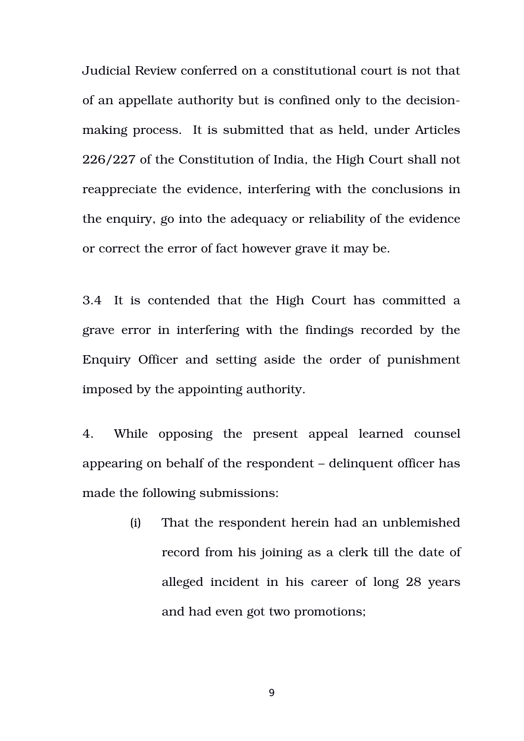Judicial Review conferred on a constitutional court is not that of an appellate authority but is confined only to the decisionmaking process. It is submitted that as held, under Articles 226/227 of the Constitution of India, the High Court shall not reappreciate the evidence, interfering with the conclusions in the enquiry, go into the adequacy or reliability of the evidence or correct the error of fact however grave it may be.

3.4 It is contended that the High Court has committed a grave error in interfering with the findings recorded by the Enquiry Officer and setting aside the order of punishment imposed by the appointing authority.

4. While opposing the present appeal learned counsel appearing on behalf of the respondent – delinquent officer has made the following submissions:

> (i) That the respondent herein had an unblemished record from his joining as a clerk till the date of alleged incident in his career of long 28 years and had even got two promotions;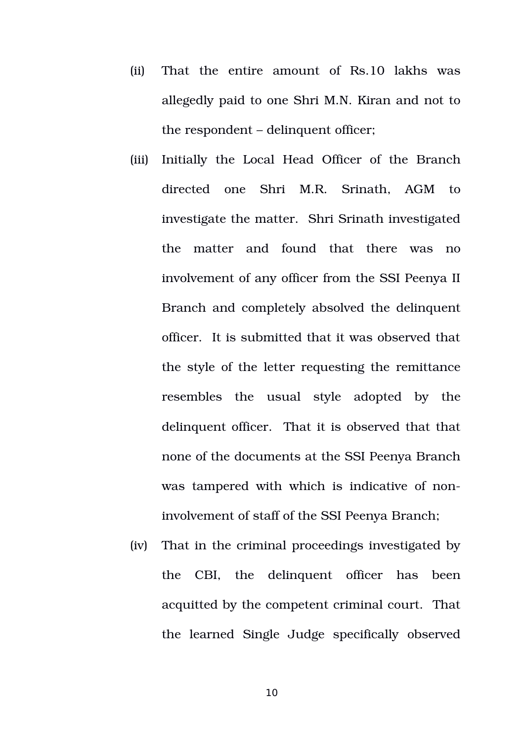- (ii) That the entire amount of Rs.10 lakhs was allegedly paid to one Shri M.N. Kiran and not to the respondent – delinquent officer;
- (iii) Initially the Local Head Officer of the Branch directed one Shri M.R. Srinath, AGM to investigate the matter. Shri Srinath investigated the matter and found that there was no involvement of any officer from the SSI Peenya II Branch and completely absolved the delinquent officer. It is submitted that it was observed that the style of the letter requesting the remittance resembles the usual style adopted by the delinquent officer. That it is observed that that none of the documents at the SSI Peenya Branch was tampered with which is indicative of noninvolvement of staff of the SSI Peenya Branch;
- (iv) That in the criminal proceedings investigated by the CBI, the delinquent officer has been acquitted by the competent criminal court. That the learned Single Judge specifically observed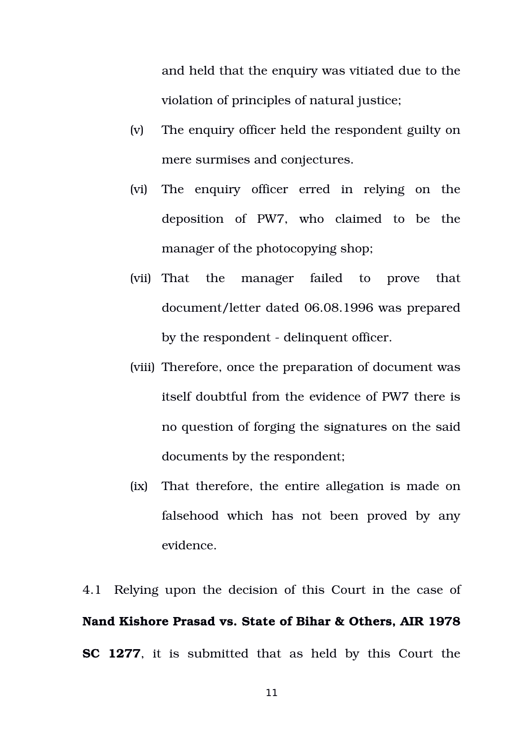and held that the enquiry was vitiated due to the violation of principles of natural justice;

- (v) The enquiry officer held the respondent guilty on mere surmises and conjectures.
- (vi) The enquiry officer erred in relying on the deposition of PW7, who claimed to be the manager of the photocopying shop;
- (vii) That the manager failed to prove that document/letter dated 06.08.1996 was prepared by the respondent - delinquent officer.
- (viii) Therefore, once the preparation of document was itself doubtful from the evidence of PW7 there is no question of forging the signatures on the said documents by the respondent;
- (ix) That therefore, the entire allegation is made on falsehood which has not been proved by any evidence.

4.1 Relying upon the decision of this Court in the case of **Nand Kishore Prasad vs. State of Bihar & Others, AIR 1978 SC 1277**, it is submitted that as held by this Court the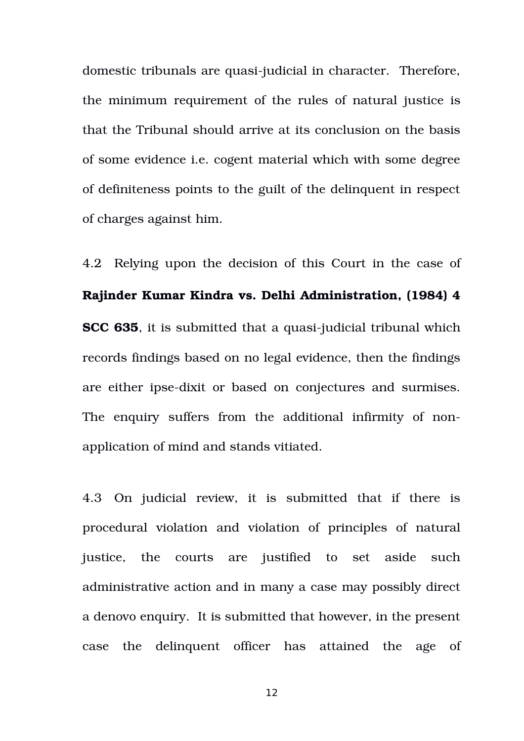domestic tribunals are quasi-judicial in character. Therefore, the minimum requirement of the rules of natural justice is that the Tribunal should arrive at its conclusion on the basis of some evidence i.e. cogent material which with some degree of definiteness points to the guilt of the delinquent in respect of charges against him.

4.2 Relying upon the decision of this Court in the case of **Rajinder Kumar Kindra vs. Delhi Administration, (1984) 4 SCC 635**, it is submitted that a quasi-judicial tribunal which records findings based on no legal evidence, then the findings are either ipse-dixit or based on conjectures and surmises. The enquiry suffers from the additional infirmity of nonapplication of mind and stands vitiated.

4.3 On judicial review, it is submitted that if there is procedural violation and violation of principles of natural justice, the courts are justified to set aside such administrative action and in many a case may possibly direct a denovo enquiry. It is submitted that however, in the present case the delinquent officer has attained the age of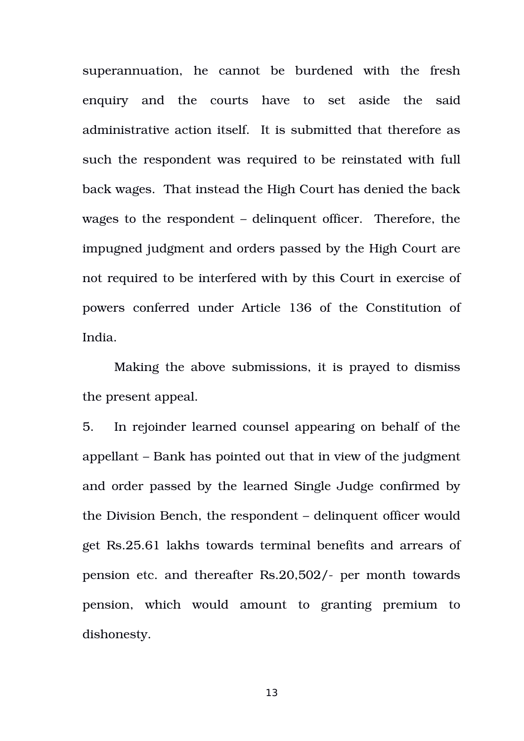superannuation, he cannot be burdened with the fresh enquiry and the courts have to set aside the said administrative action itself. It is submitted that therefore as such the respondent was required to be reinstated with full back wages. That instead the High Court has denied the back wages to the respondent – delinquent officer. Therefore, the impugned judgment and orders passed by the High Court are not required to be interfered with by this Court in exercise of powers conferred under Article 136 of the Constitution of India.

Making the above submissions, it is prayed to dismiss the present appeal.

5. In rejoinder learned counsel appearing on behalf of the appellant – Bank has pointed out that in view of the judgment and order passed by the learned Single Judge confirmed by the Division Bench, the respondent – delinquent officer would get Rs.25.61 lakhs towards terminal benefits and arrears of pension etc. and thereafter Rs.20,502/- per month towards pension, which would amount to granting premium to dishonesty.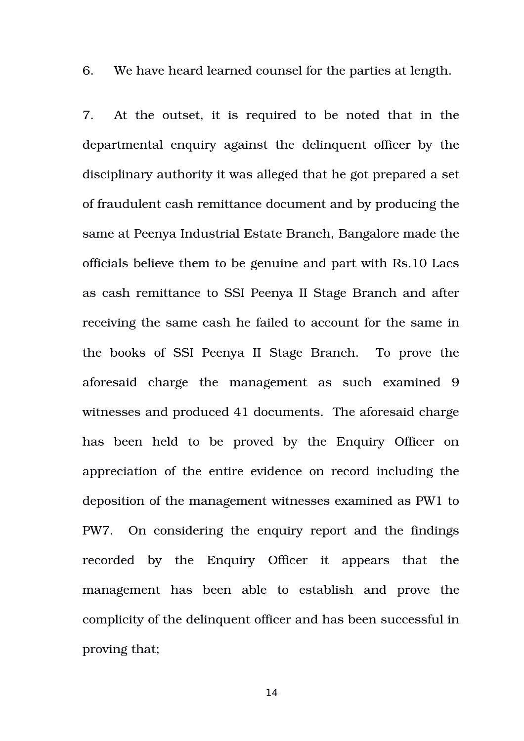6. We have heard learned counsel for the parties at length.

7. At the outset, it is required to be noted that in the departmental enquiry against the delinquent officer by the disciplinary authority it was alleged that he got prepared a set of fraudulent cash remittance document and by producing the same at Peenya Industrial Estate Branch, Bangalore made the officials believe them to be genuine and part with Rs.10 Lacs as cash remittance to SSI Peenya II Stage Branch and after receiving the same cash he failed to account for the same in the books of SSI Peenya II Stage Branch. To prove the aforesaid charge the management as such examined 9 witnesses and produced 41 documents. The aforesaid charge has been held to be proved by the Enquiry Officer on appreciation of the entire evidence on record including the deposition of the management witnesses examined as PW1 to PW7. On considering the enquiry report and the findings recorded by the Enquiry Officer it appears that the management has been able to establish and prove the complicity of the delinquent officer and has been successful in proving that;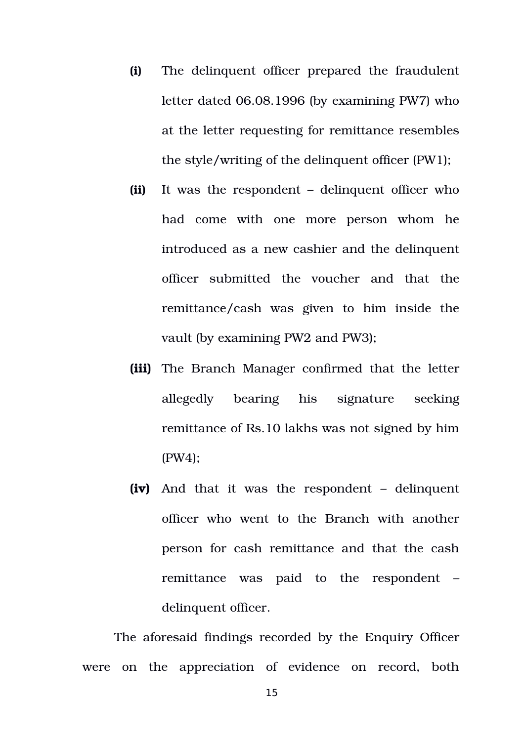- **(i)** The delinquent officer prepared the fraudulent letter dated 06.08.1996 (by examining PW7) who at the letter requesting for remittance resembles the style/writing of the delinquent officer (PW1);
- **(ii)** It was the respondent delinquent officer who had come with one more person whom he introduced as a new cashier and the delinquent officer submitted the voucher and that the remittance/cash was given to him inside the vault (by examining PW2 and PW3);
- **(iii)** The Branch Manager confirmed that the letter allegedly bearing his signature seeking remittance of Rs.10 lakhs was not signed by him (PW4);
- **(iv)** And that it was the respondent – delinquent officer who went to the Branch with another person for cash remittance and that the cash remittance was paid to the respondent – delinquent officer.

The aforesaid findings recorded by the Enquiry Officer were on the appreciation of evidence on record, both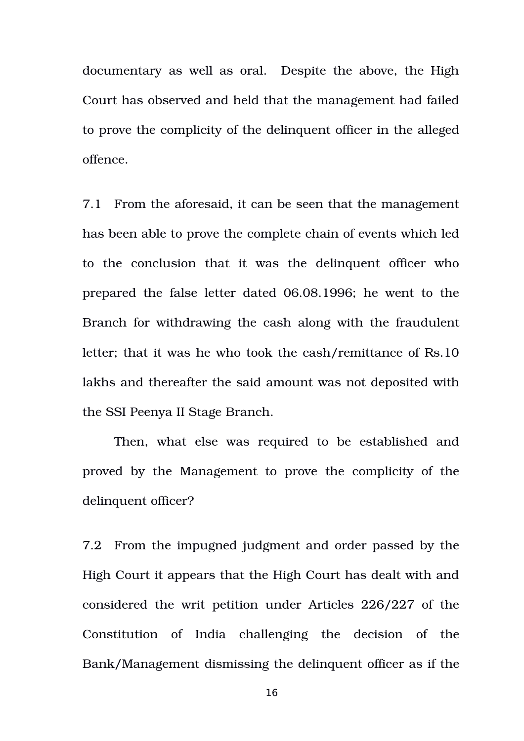documentary as well as oral. Despite the above, the High Court has observed and held that the management had failed to prove the complicity of the delinquent officer in the alleged offence.

7.1 From the aforesaid, it can be seen that the management has been able to prove the complete chain of events which led to the conclusion that it was the delinquent officer who prepared the false letter dated 06.08.1996; he went to the Branch for withdrawing the cash along with the fraudulent letter; that it was he who took the cash/remittance of Rs.10 lakhs and thereafter the said amount was not deposited with the SSI Peenya II Stage Branch.

Then, what else was required to be established and proved by the Management to prove the complicity of the delinquent officer?

7.2 From the impugned judgment and order passed by the High Court it appears that the High Court has dealt with and considered the writ petition under Articles 226/227 of the Constitution of India challenging the decision of the Bank/Management dismissing the delinquent officer as if the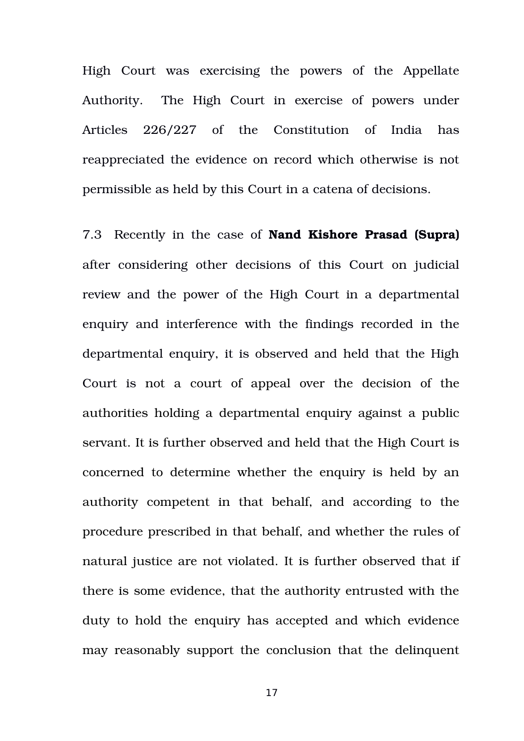High Court was exercising the powers of the Appellate Authority. The High Court in exercise of powers under Articles 226/227 of the Constitution of India has reappreciated the evidence on record which otherwise is not permissible as held by this Court in a catena of decisions.

7.3 Recently in the case of **Nand Kishore Prasad (Supra)** after considering other decisions of this Court on judicial review and the power of the High Court in a departmental enquiry and interference with the findings recorded in the departmental enquiry, it is observed and held that the High Court is not a court of appeal over the decision of the authorities holding a departmental enquiry against a public servant. It is further observed and held that the High Court is concerned to determine whether the enquiry is held by an authority competent in that behalf, and according to the procedure prescribed in that behalf, and whether the rules of natural justice are not violated. It is further observed that if there is some evidence, that the authority entrusted with the duty to hold the enquiry has accepted and which evidence may reasonably support the conclusion that the delinquent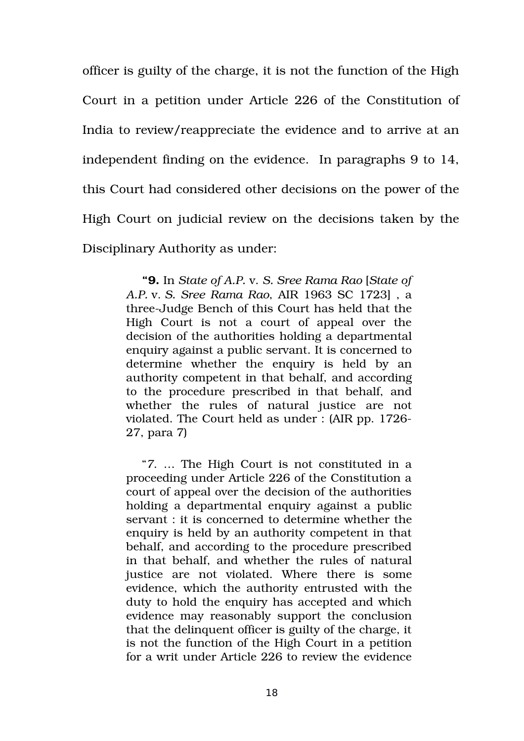officer is guilty of the charge, it is not the function of the High Court in a petition under Article 226 of the Constitution of India to review/reappreciate the evidence and to arrive at an independent finding on the evidence. In paragraphs 9 to 14, this Court had considered other decisions on the power of the High Court on judicial review on the decisions taken by the Disciplinary Authority as under:

> **"9.** In *State of A.P.* v. *S. Sree Rama Rao* [*State of A.P.* v. *S. Sree Rama Rao*, AIR 1963 SC 1723] , a threeJudge Bench of this Court has held that the High Court is not a court of appeal over the decision of the authorities holding a departmental enquiry against a public servant. It is concerned to determine whether the enquiry is held by an authority competent in that behalf, and according to the procedure prescribed in that behalf, and whether the rules of natural justice are not violated. The Court held as under : (AIR pp. 1726 27, para 7)

> "*7*. … The High Court is not constituted in a proceeding under Article 226 of the Constitution a court of appeal over the decision of the authorities holding a departmental enquiry against a public servant : it is concerned to determine whether the enquiry is held by an authority competent in that behalf, and according to the procedure prescribed in that behalf, and whether the rules of natural justice are not violated. Where there is some evidence, which the authority entrusted with the duty to hold the enquiry has accepted and which evidence may reasonably support the conclusion that the delinquent officer is guilty of the charge, it is not the function of the High Court in a petition for a writ under Article 226 to review the evidence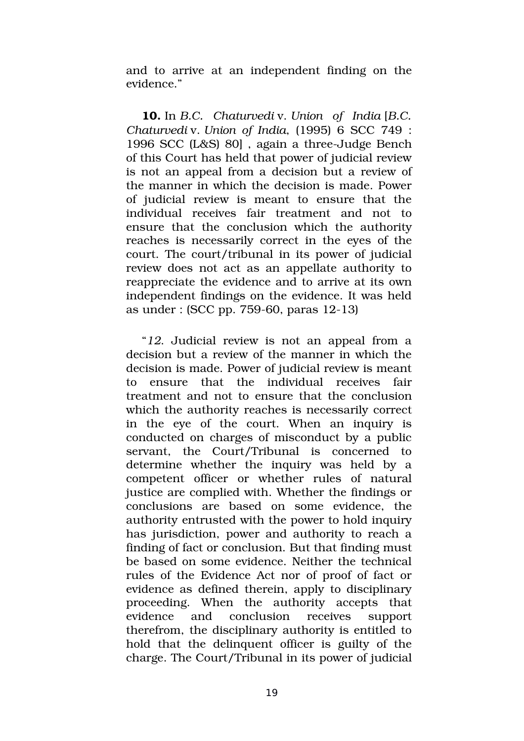and to arrive at an independent finding on the evidence."

**10.** In *B.C. Chaturvedi* v. *Union of India* [*B.C. Chaturvedi* v. *Union of India*, (1995) 6 SCC 749 : 1996 SCC (L&S) 80], again a three-Judge Bench of this Court has held that power of judicial review is not an appeal from a decision but a review of the manner in which the decision is made. Power of judicial review is meant to ensure that the individual receives fair treatment and not to ensure that the conclusion which the authority reaches is necessarily correct in the eyes of the court. The court/tribunal in its power of judicial review does not act as an appellate authority to reappreciate the evidence and to arrive at its own independent findings on the evidence. It was held as under :  $(SCC pp. 759-60, paras 12-13)$ 

"*12*. Judicial review is not an appeal from a decision but a review of the manner in which the decision is made. Power of judicial review is meant to ensure that the individual receives fair treatment and not to ensure that the conclusion which the authority reaches is necessarily correct in the eye of the court. When an inquiry is conducted on charges of misconduct by a public servant, the Court/Tribunal is concerned to determine whether the inquiry was held by a competent officer or whether rules of natural justice are complied with. Whether the findings or conclusions are based on some evidence, the authority entrusted with the power to hold inquiry has jurisdiction, power and authority to reach a finding of fact or conclusion. But that finding must be based on some evidence. Neither the technical rules of the Evidence Act nor of proof of fact or evidence as defined therein, apply to disciplinary proceeding. When the authority accepts that evidence and conclusion receives support therefrom, the disciplinary authority is entitled to hold that the delinquent officer is guilty of the charge. The Court/Tribunal in its power of judicial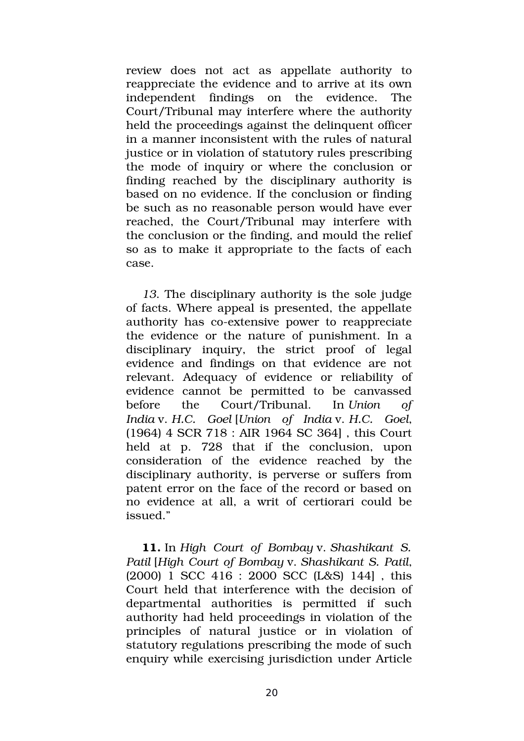review does not act as appellate authority to reappreciate the evidence and to arrive at its own independent findings on the evidence. The Court/Tribunal may interfere where the authority held the proceedings against the delinquent officer in a manner inconsistent with the rules of natural justice or in violation of statutory rules prescribing the mode of inquiry or where the conclusion or finding reached by the disciplinary authority is based on no evidence. If the conclusion or finding be such as no reasonable person would have ever reached, the Court/Tribunal may interfere with the conclusion or the finding, and mould the relief so as to make it appropriate to the facts of each case.

*13*. The disciplinary authority is the sole judge of facts. Where appeal is presented, the appellate authority has co-extensive power to reappreciate the evidence or the nature of punishment. In a disciplinary inquiry, the strict proof of legal evidence and findings on that evidence are not relevant. Adequacy of evidence or reliability of evidence cannot be permitted to be canvassed before the Court/Tribunal. In *Union of India* v. *H.C. Goel* [*Union of India* v. *H.C. Goel*, (1964) 4 SCR 718 : AIR 1964 SC 364] , this Court held at p. 728 that if the conclusion, upon consideration of the evidence reached by the disciplinary authority, is perverse or suffers from patent error on the face of the record or based on no evidence at all, a writ of certiorari could be issued."

**11.** In *High Court of Bombay* v. *Shashikant S. Patil* [*High Court of Bombay* v. *Shashikant S. Patil*, (2000) 1 SCC 416 : 2000 SCC (L&S) 144] , this Court held that interference with the decision of departmental authorities is permitted if such authority had held proceedings in violation of the principles of natural justice or in violation of statutory regulations prescribing the mode of such enquiry while exercising jurisdiction under Article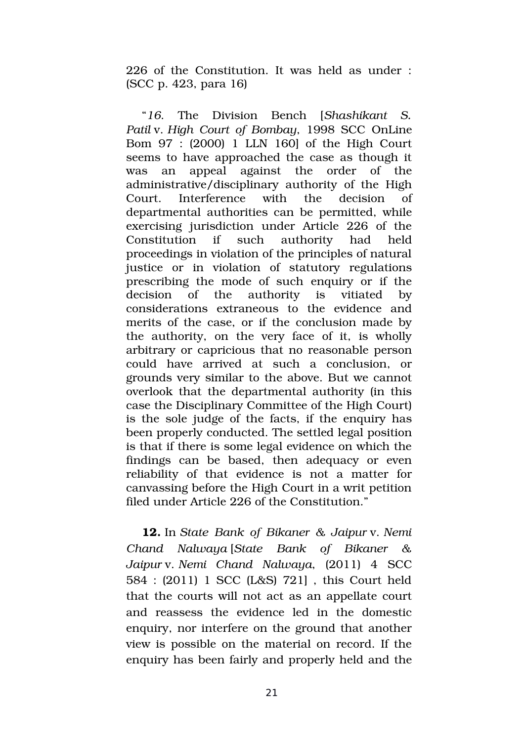226 of the Constitution. It was held as under : (SCC p. 423, para 16)

"*16*. The Division Bench [*Shashikant S. Patil* v. *High Court of Bombay*, 1998 SCC OnLine Bom 97 : (2000) 1 LLN 160] of the High Court seems to have approached the case as though it was an appeal against the order of the administrative/disciplinary authority of the High Court. Interference with the decision of departmental authorities can be permitted, while exercising jurisdiction under Article 226 of the Constitution if such authority had held proceedings in violation of the principles of natural justice or in violation of statutory regulations prescribing the mode of such enquiry or if the decision of the authority is vitiated by considerations extraneous to the evidence and merits of the case, or if the conclusion made by the authority, on the very face of it, is wholly arbitrary or capricious that no reasonable person could have arrived at such a conclusion, or grounds very similar to the above. But we cannot overlook that the departmental authority (in this case the Disciplinary Committee of the High Court) is the sole judge of the facts, if the enquiry has been properly conducted. The settled legal position is that if there is some legal evidence on which the findings can be based, then adequacy or even reliability of that evidence is not a matter for canvassing before the High Court in a writ petition filed under Article 226 of the Constitution."

**12.** In *State Bank of Bikaner & Jaipur* v. *Nemi Chand Nalwaya* [*State Bank of Bikaner & Jaipur* v. *Nemi Chand Nalwaya*, (2011) 4 SCC 584 : (2011) 1 SCC (L&S) 721] , this Court held that the courts will not act as an appellate court and reassess the evidence led in the domestic enquiry, nor interfere on the ground that another view is possible on the material on record. If the enquiry has been fairly and properly held and the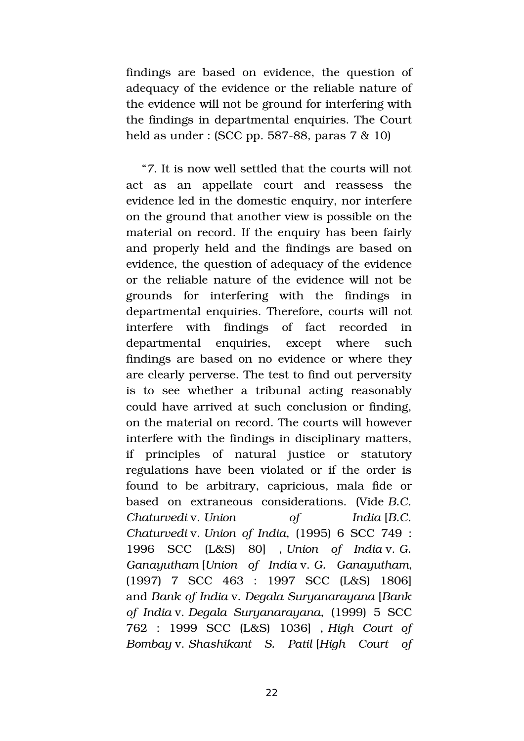findings are based on evidence, the question of adequacy of the evidence or the reliable nature of the evidence will not be ground for interfering with the findings in departmental enquiries. The Court held as under : (SCC pp. 587-88, paras  $7 \& 10$ )

"*7*. It is now well settled that the courts will not act as an appellate court and reassess the evidence led in the domestic enquiry, nor interfere on the ground that another view is possible on the material on record. If the enquiry has been fairly and properly held and the findings are based on evidence, the question of adequacy of the evidence or the reliable nature of the evidence will not be grounds for interfering with the findings in departmental enquiries. Therefore, courts will not interfere with findings of fact recorded in departmental enquiries, except where such findings are based on no evidence or where they are clearly perverse. The test to find out perversity is to see whether a tribunal acting reasonably could have arrived at such conclusion or finding, on the material on record. The courts will however interfere with the findings in disciplinary matters, if principles of natural justice or statutory regulations have been violated or if the order is found to be arbitrary, capricious, mala fide or based on extraneous considerations. (Vide *B.C. Chaturvedi* v. *Union of India* [*B.C. Chaturvedi* v. *Union of India*, (1995) 6 SCC 749 : 1996 SCC (L&S) 80] , *Union of India* v. *G. Ganayutham* [*Union of India* v. *G. Ganayutham*, (1997) 7 SCC 463 : 1997 SCC (L&S) 1806] and *Bank of India* v. *Degala Suryanarayana* [*Bank of India* v. *Degala Suryanarayana*, (1999) 5 SCC 762 : 1999 SCC (L&S) 1036] , *High Court of Bombay* v. *Shashikant S. Patil* [*High Court of*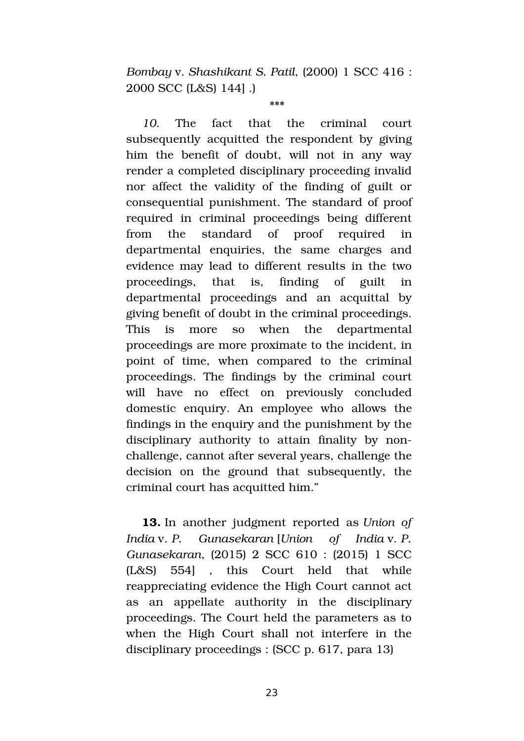*Bombay* v. *Shashikant S. Patil*, (2000) 1 SCC 416 : 2000 SCC (L&S) 144] .)

\*\*\*

10. The fact that the criminal court subsequently acquitted the respondent by giving him the benefit of doubt, will not in any way render a completed disciplinary proceeding invalid nor affect the validity of the finding of guilt or consequential punishment. The standard of proof required in criminal proceedings being different from the standard of proof required in departmental enquiries, the same charges and evidence may lead to different results in the two proceedings, that is, finding of guilt in departmental proceedings and an acquittal by giving benefit of doubt in the criminal proceedings. This is more so when the departmental proceedings are more proximate to the incident, in point of time, when compared to the criminal proceedings. The findings by the criminal court will have no effect on previously concluded domestic enquiry. An employee who allows the findings in the enquiry and the punishment by the disciplinary authority to attain finality by nonchallenge, cannot after several years, challenge the decision on the ground that subsequently, the criminal court has acquitted him."

**13.** In another judgment reported as *Union of India* v. *P. Gunasekaran* [*Union of India* v. *P. Gunasekaran*, (2015) 2 SCC 610 : (2015) 1 SCC (L&S) 554] , this Court held that while reappreciating evidence the High Court cannot act as an appellate authority in the disciplinary proceedings. The Court held the parameters as to when the High Court shall not interfere in the disciplinary proceedings : (SCC p. 617, para 13)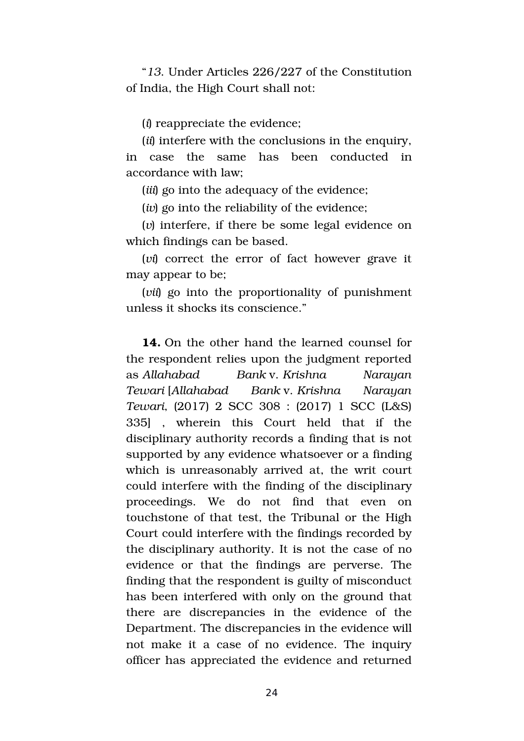"*13*. Under Articles 226/227 of the Constitution of India, the High Court shall not:

(*i*) reappreciate the evidence;

(*ii*) interfere with the conclusions in the enquiry, in case the same has been conducted in accordance with law;

(*iii*) go into the adequacy of the evidence;

(*iv*) go into the reliability of the evidence;

(*v*) interfere, if there be some legal evidence on which findings can be based.

(*vi*) correct the error of fact however grave it may appear to be;

(*vii*) go into the proportionality of punishment unless it shocks its conscience."

**14.** On the other hand the learned counsel for the respondent relies upon the judgment reported as *Allahabad Bank* v. *Krishna Narayan Tewari* [*Allahabad Bank* v. *Krishna Narayan Tewari*, (2017) 2 SCC 308 : (2017) 1 SCC (L&S) 335] , wherein this Court held that if the disciplinary authority records a finding that is not supported by any evidence whatsoever or a finding which is unreasonably arrived at, the writ court could interfere with the finding of the disciplinary proceedings. We do not find that even on touchstone of that test, the Tribunal or the High Court could interfere with the findings recorded by the disciplinary authority. It is not the case of no evidence or that the findings are perverse. The finding that the respondent is guilty of misconduct has been interfered with only on the ground that there are discrepancies in the evidence of the Department. The discrepancies in the evidence will not make it a case of no evidence. The inquiry officer has appreciated the evidence and returned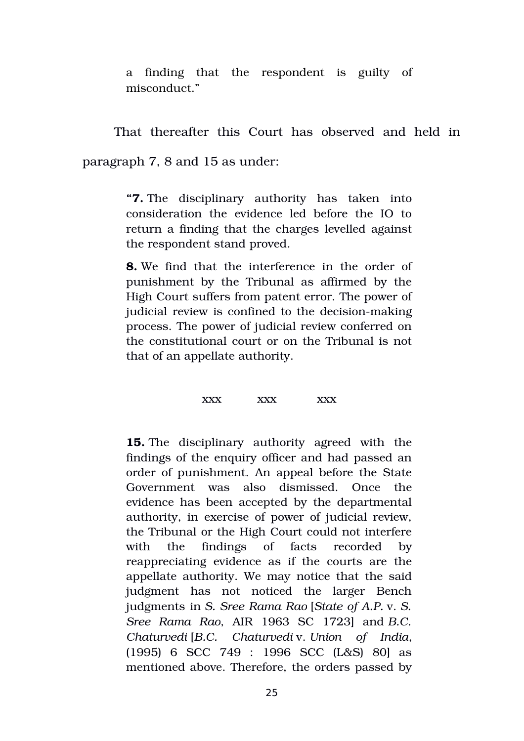a finding that the respondent is guilty of misconduct."

That thereafter this Court has observed and held in

paragraph 7, 8 and 15 as under:

**"7.** The disciplinary authority has taken into consideration the evidence led before the IO to return a finding that the charges levelled against the respondent stand proved.

**8.** We find that the interference in the order of punishment by the Tribunal as affirmed by the High Court suffers from patent error. The power of judicial review is confined to the decision-making process. The power of judicial review conferred on the constitutional court or on the Tribunal is not that of an appellate authority.

#### xxx xxx xxx

**15.** The disciplinary authority agreed with the findings of the enquiry officer and had passed an order of punishment. An appeal before the State Government was also dismissed. Once the evidence has been accepted by the departmental authority, in exercise of power of judicial review, the Tribunal or the High Court could not interfere with the findings of facts recorded by reappreciating evidence as if the courts are the appellate authority. We may notice that the said judgment has not noticed the larger Bench judgments in *S. Sree Rama Rao* [*State of A.P.* v. *S. Sree Rama Rao*, AIR 1963 SC 1723] and *B.C. Chaturvedi* [*B.C. Chaturvedi* v. *Union of India*, (1995) 6 SCC 749 : 1996 SCC (L&S) 80] as mentioned above. Therefore, the orders passed by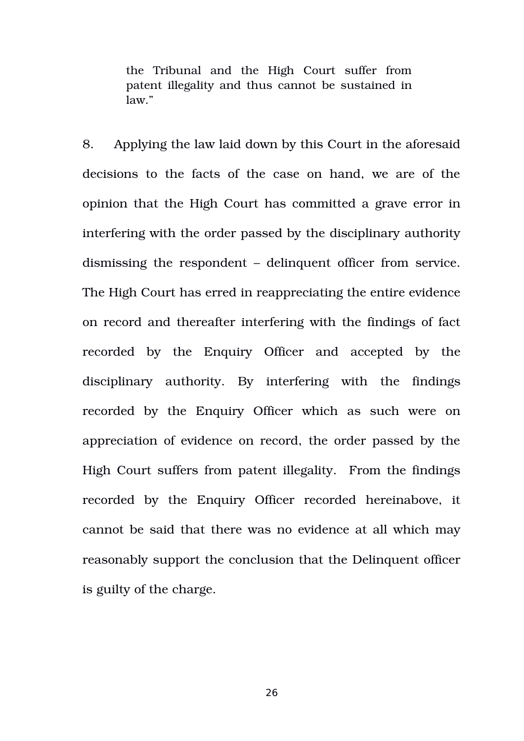the Tribunal and the High Court suffer from patent illegality and thus cannot be sustained in law."

8. Applying the law laid down by this Court in the aforesaid decisions to the facts of the case on hand, we are of the opinion that the High Court has committed a grave error in interfering with the order passed by the disciplinary authority dismissing the respondent – delinquent officer from service. The High Court has erred in reappreciating the entire evidence on record and thereafter interfering with the findings of fact recorded by the Enquiry Officer and accepted by the disciplinary authority. By interfering with the findings recorded by the Enquiry Officer which as such were on appreciation of evidence on record, the order passed by the High Court suffers from patent illegality. From the findings recorded by the Enquiry Officer recorded hereinabove, it cannot be said that there was no evidence at all which may reasonably support the conclusion that the Delinquent officer is guilty of the charge.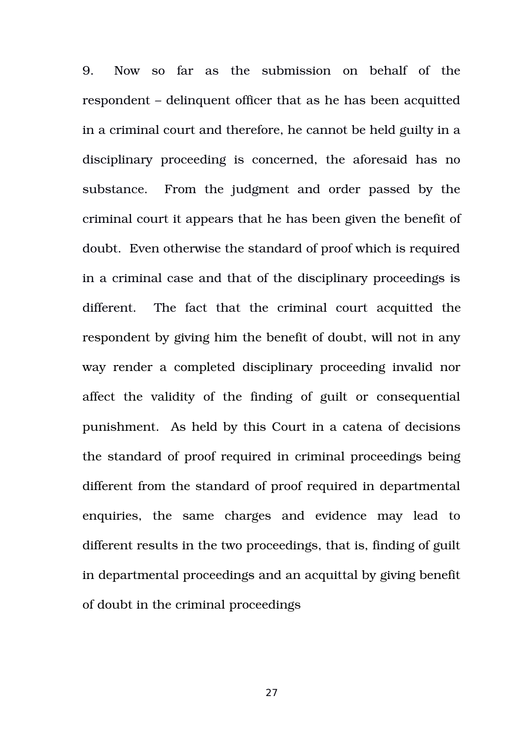9. Now so far as the submission on behalf of the respondent – delinquent officer that as he has been acquitted in a criminal court and therefore, he cannot be held guilty in a disciplinary proceeding is concerned, the aforesaid has no substance. From the judgment and order passed by the criminal court it appears that he has been given the benefit of doubt. Even otherwise the standard of proof which is required in a criminal case and that of the disciplinary proceedings is different. The fact that the criminal court acquitted the respondent by giving him the benefit of doubt, will not in any way render a completed disciplinary proceeding invalid nor affect the validity of the finding of guilt or consequential punishment. As held by this Court in a catena of decisions the standard of proof required in criminal proceedings being different from the standard of proof required in departmental enquiries, the same charges and evidence may lead to different results in the two proceedings, that is, finding of guilt in departmental proceedings and an acquittal by giving benefit of doubt in the criminal proceedings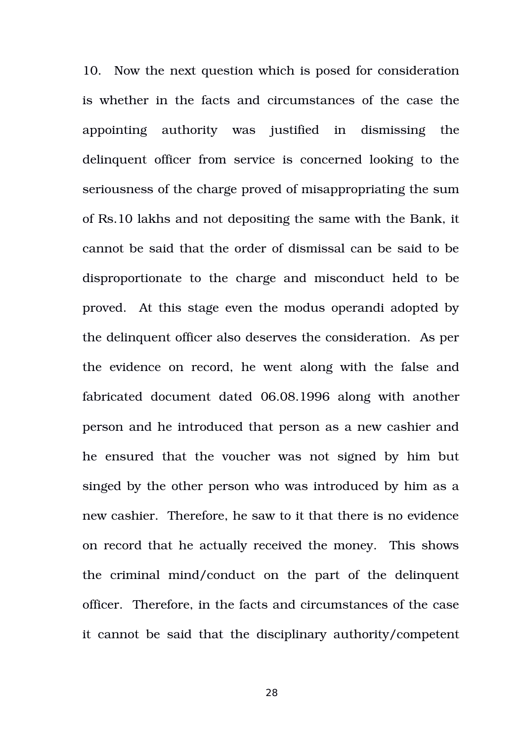10. Now the next question which is posed for consideration is whether in the facts and circumstances of the case the appointing authority was iustified in dismissing the delinquent officer from service is concerned looking to the seriousness of the charge proved of misappropriating the sum of Rs.10 lakhs and not depositing the same with the Bank, it cannot be said that the order of dismissal can be said to be disproportionate to the charge and misconduct held to be proved. At this stage even the modus operandi adopted by the delinquent officer also deserves the consideration. As per the evidence on record, he went along with the false and fabricated document dated 06.08.1996 along with another person and he introduced that person as a new cashier and he ensured that the voucher was not signed by him but singed by the other person who was introduced by him as a new cashier. Therefore, he saw to it that there is no evidence on record that he actually received the money. This shows the criminal mind/conduct on the part of the delinquent officer. Therefore, in the facts and circumstances of the case it cannot be said that the disciplinary authority/competent